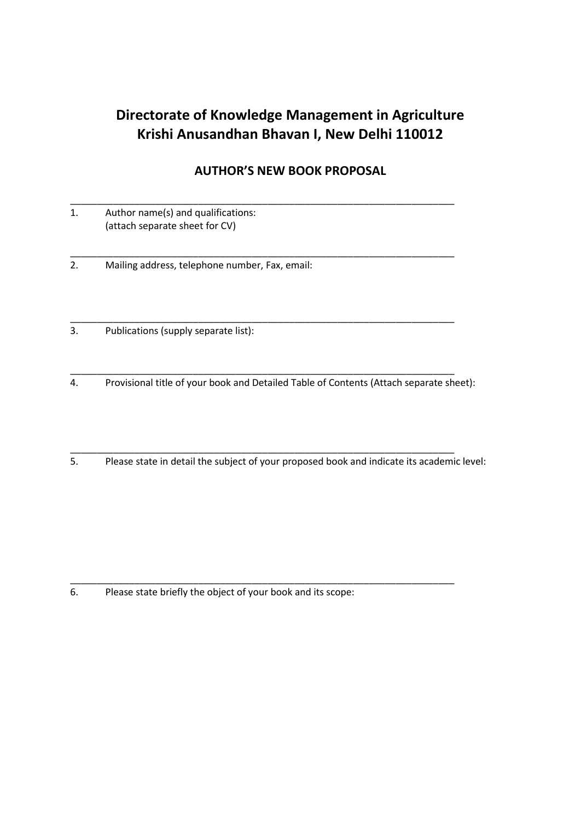## **Directorate of Knowledge Management in Agriculture Krishi Anusandhan Bhavan I, New Delhi 110012**

## **AUTHOR'S NEW BOOK PROPOSAL**

|  | Author name(s) and qualifications: |  |
|--|------------------------------------|--|
|  | (attach separate sheet for CV)     |  |

2. Mailing address, telephone number, Fax, email:

\_\_\_\_\_\_\_\_\_\_\_\_\_\_\_\_\_\_\_\_\_\_\_\_\_\_\_\_\_\_\_\_\_\_\_\_\_\_\_\_\_\_\_\_\_\_\_\_\_\_\_\_\_\_\_\_\_\_\_\_\_\_\_\_\_\_\_\_\_\_\_\_ 3. Publications (supply separate list):

4. Provisional title of your book and Detailed Table of Contents (Attach separate sheet):

\_\_\_\_\_\_\_\_\_\_\_\_\_\_\_\_\_\_\_\_\_\_\_\_\_\_\_\_\_\_\_\_\_\_\_\_\_\_\_\_\_\_\_\_\_\_\_\_\_\_\_\_\_\_\_\_\_\_\_\_\_\_\_\_\_\_\_\_\_\_\_\_

\_\_\_\_\_\_\_\_\_\_\_\_\_\_\_\_\_\_\_\_\_\_\_\_\_\_\_\_\_\_\_\_\_\_\_\_\_\_\_\_\_\_\_\_\_\_\_\_\_\_\_\_\_\_\_\_\_\_\_\_\_\_\_\_\_\_\_\_\_\_\_\_

\_\_\_\_\_\_\_\_\_\_\_\_\_\_\_\_\_\_\_\_\_\_\_\_\_\_\_\_\_\_\_\_\_\_\_\_\_\_\_\_\_\_\_\_\_\_\_\_\_\_\_\_\_\_\_\_\_\_\_\_\_\_\_\_\_\_\_\_\_\_\_\_

\_\_\_\_\_\_\_\_\_\_\_\_\_\_\_\_\_\_\_\_\_\_\_\_\_\_\_\_\_\_\_\_\_\_\_\_\_\_\_\_\_\_\_\_\_\_\_\_\_\_\_\_\_\_\_\_\_\_\_\_\_\_\_\_\_\_\_\_\_\_\_\_

5. Please state in detail the subject of your proposed book and indicate its academic level:

6. Please state briefly the object of your book and its scope: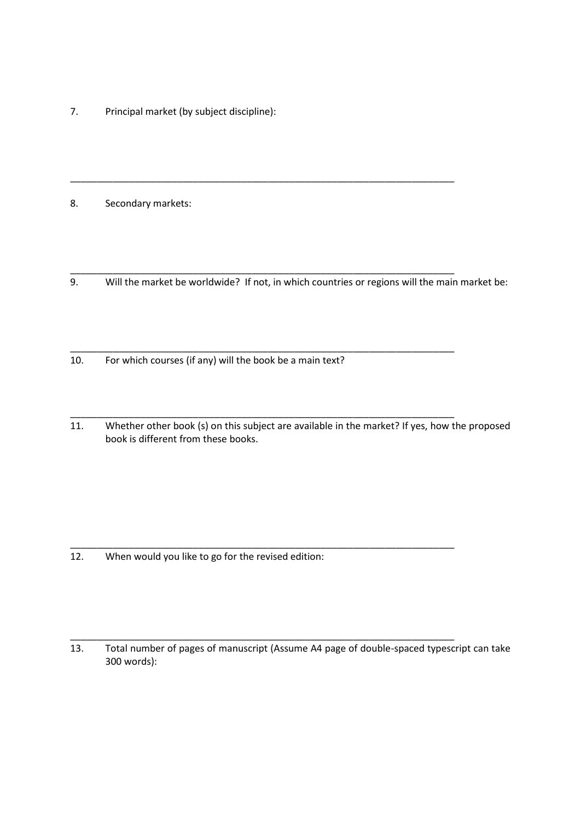7. Principal market (by subject discipline):

8. Secondary markets:

9. Will the market be worldwide? If not, in which countries or regions will the main market be:

\_\_\_\_\_\_\_\_\_\_\_\_\_\_\_\_\_\_\_\_\_\_\_\_\_\_\_\_\_\_\_\_\_\_\_\_\_\_\_\_\_\_\_\_\_\_\_\_\_\_\_\_\_\_\_\_\_\_\_\_\_\_\_\_\_\_\_\_\_\_\_\_

\_\_\_\_\_\_\_\_\_\_\_\_\_\_\_\_\_\_\_\_\_\_\_\_\_\_\_\_\_\_\_\_\_\_\_\_\_\_\_\_\_\_\_\_\_\_\_\_\_\_\_\_\_\_\_\_\_\_\_\_\_\_\_\_\_\_\_\_\_\_\_\_

\_\_\_\_\_\_\_\_\_\_\_\_\_\_\_\_\_\_\_\_\_\_\_\_\_\_\_\_\_\_\_\_\_\_\_\_\_\_\_\_\_\_\_\_\_\_\_\_\_\_\_\_\_\_\_\_\_\_\_\_\_\_\_\_\_\_\_\_\_\_\_\_

\_\_\_\_\_\_\_\_\_\_\_\_\_\_\_\_\_\_\_\_\_\_\_\_\_\_\_\_\_\_\_\_\_\_\_\_\_\_\_\_\_\_\_\_\_\_\_\_\_\_\_\_\_\_\_\_\_\_\_\_\_\_\_\_\_\_\_\_\_\_\_\_

\_\_\_\_\_\_\_\_\_\_\_\_\_\_\_\_\_\_\_\_\_\_\_\_\_\_\_\_\_\_\_\_\_\_\_\_\_\_\_\_\_\_\_\_\_\_\_\_\_\_\_\_\_\_\_\_\_\_\_\_\_\_\_\_\_\_\_\_\_\_\_\_

10. For which courses (if any) will the book be a main text?

\_\_\_\_\_\_\_\_\_\_\_\_\_\_\_\_\_\_\_\_\_\_\_\_\_\_\_\_\_\_\_\_\_\_\_\_\_\_\_\_\_\_\_\_\_\_\_\_\_\_\_\_\_\_\_\_\_\_\_\_\_\_\_\_\_\_\_\_\_\_\_\_ 11. Whether other book (s) on this subject are available in the market? If yes, how the proposed book is different from these books.

12. When would you like to go for the revised edition:

13. Total number of pages of manuscript (Assume A4 page of double-spaced typescript can take 300 words):